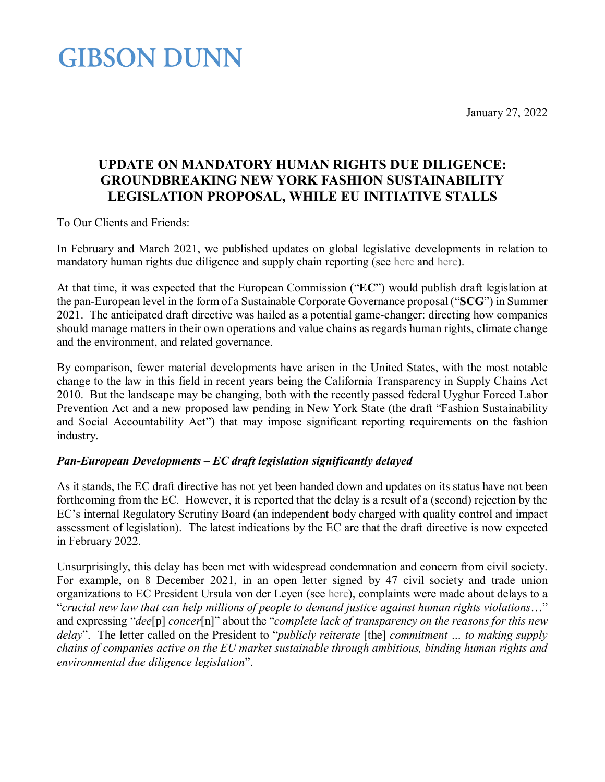January 27, 2022

## **GIBSON DUNN**

### **UPDATE ON MANDATORY HUMAN RIGHTS DUE DILIGENCE: GROUNDBREAKING NEW YORK FASHION SUSTAINABILITY LEGISLATION PROPOSAL, WHILE EU INITIATIVE STALLS**

To Our Clients and Friends:

In February and March 2021, we published updates on global legislative developments in relation to mandatory human rights due diligence and supply chain reporting (see [here](https://www.gibsondunn.com/mandatory-corporate-human-rights-due-diligence-what-now-and-what-next-an-international-perspective/) and [here\)](https://www.gibsondunn.com/part-two-mandatory-corporate-human-rights-due-diligence-what-now-and-what-next-an-international-perspective/).

At that time, it was expected that the European Commission ("**EC**") would publish draft legislation at the pan-European level in the form of a Sustainable Corporate Governance proposal ("**SCG**") in Summer 2021. The anticipated draft directive was hailed as a potential game-changer: directing how companies should manage matters in their own operations and value chains as regards human rights, climate change and the environment, and related governance.

By comparison, fewer material developments have arisen in the United States, with the most notable change to the law in this field in recent years being the California Transparency in Supply Chains Act 2010. But the landscape may be changing, both with the recently passed federal Uyghur Forced Labor Prevention Act and a new proposed law pending in New York State (the draft "Fashion Sustainability and Social Accountability Act") that may impose significant reporting requirements on the fashion industry.

### *Pan-European Developments – EC draft legislation significantly delayed*

As it stands, the EC draft directive has not yet been handed down and updates on its status have not been forthcoming from the EC. However, it is reported that the delay is a result of a (second) rejection by the EC's internal Regulatory Scrutiny Board (an independent body charged with quality control and impact assessment of legislation). The latest indications by the EC are that the draft directive is now expected in February 2022.

Unsurprisingly, this delay has been met with widespread condemnation and concern from civil society. For example, on 8 December 2021, in an open letter signed by 47 civil society and trade union organizations to EC President Ursula von der Leyen (see [here\)](https://www.amnesty.eu/wp-content/uploads/2021/12/Open-letter-to-President-VDL-on-SCG-Delay.pdf), complaints were made about delays to a "*crucial new law that can help millions of people to demand justice against human rights violations*…" and expressing "*dee*[p] *concer*[n]" about the "*complete lack of transparency on the reasons for this new delay*". The letter called on the President to "*publicly reiterate* [the] *commitment … to making supply chains of companies active on the EU market sustainable through ambitious, binding human rights and environmental due diligence legislation*".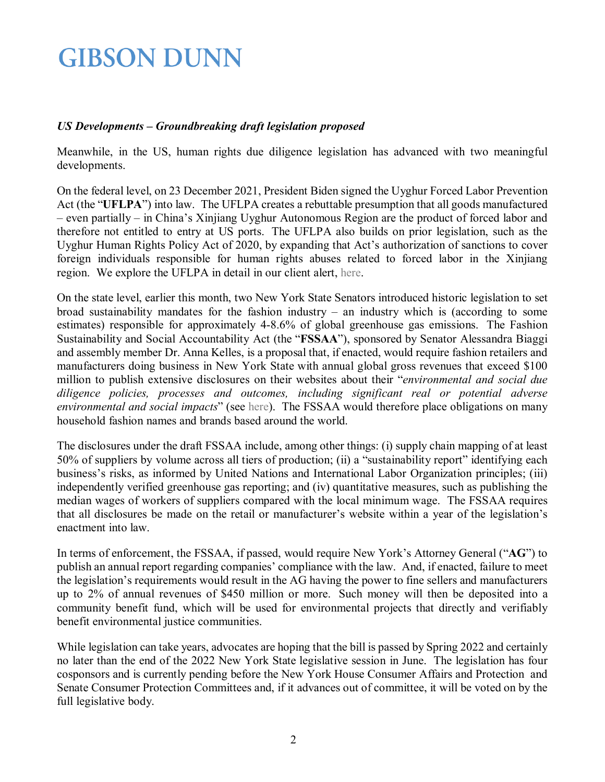# **GIBSON DUNN**

### *US Developments – Groundbreaking draft legislation proposed*

Meanwhile, in the US, human rights due diligence legislation has advanced with two meaningful developments.

On the federal level, on 23 December 2021, President Biden signed the Uyghur Forced Labor Prevention Act (the "**UFLPA**") into law. The UFLPA creates a rebuttable presumption that all goods manufactured – even partially – in China's Xinjiang Uyghur Autonomous Region are the product of forced labor and therefore not entitled to entry at US ports. The UFLPA also builds on prior legislation, such as the Uyghur Human Rights Policy Act of 2020, by expanding that Act's authorization of sanctions to cover foreign individuals responsible for human rights abuses related to forced labor in the Xinjiang region. We explore the UFLPA in detail in our client alert, [here.](https://www.gibsondunn.com/the-uyghur-forced-labor-prevention-act-goes-into-effect-in-the-united-states/)

On the state level, earlier this month, two New York State Senators introduced historic legislation to set broad sustainability mandates for the fashion industry – an industry which is (according to some estimates) responsible for approximately 4-8.6% of global greenhouse gas emissions. The Fashion Sustainability and Social Accountability Act (the "**FSSAA**"), sponsored by Senator Alessandra Biaggi and assembly member Dr. Anna Kelles, is a proposal that, if enacted, would require fashion retailers and manufacturers doing business in New York State with annual global gross revenues that exceed \$100 million to publish extensive disclosures on their websites about their "*environmental and social due diligence policies, processes and outcomes, including significant real or potential adverse environmental and social impacts*" (see [here\)](https://www.nysenate.gov/legislation/bills/2021/A8352). The FSSAA would therefore place obligations on many household fashion names and brands based around the world.

The disclosures under the draft FSSAA include, among other things: (i) supply chain mapping of at least 50% of suppliers by volume across all tiers of production; (ii) a "sustainability report" identifying each business's risks, as informed by United Nations and International Labor Organization principles; (iii) independently verified greenhouse gas reporting; and (iv) quantitative measures, such as publishing the median wages of workers of suppliers compared with the local minimum wage. The FSSAA requires that all disclosures be made on the retail or manufacturer's website within a year of the legislation's enactment into law.

In terms of enforcement, the FSSAA, if passed, would require New York's Attorney General ("**AG**") to publish an annual report regarding companies' compliance with the law. And, if enacted, failure to meet the legislation's requirements would result in the AG having the power to fine sellers and manufacturers up to 2% of annual revenues of \$450 million or more. Such money will then be deposited into a community benefit fund, which will be used for environmental projects that directly and verifiably benefit environmental justice communities.

While legislation can take years, advocates are hoping that the bill is passed by Spring 2022 and certainly no later than the end of the 2022 New York State legislative session in June. The legislation has four cosponsors and is currently pending before the New York House Consumer Affairs and Protection and Senate Consumer Protection Committees and, if it advances out of committee, it will be voted on by the full legislative body.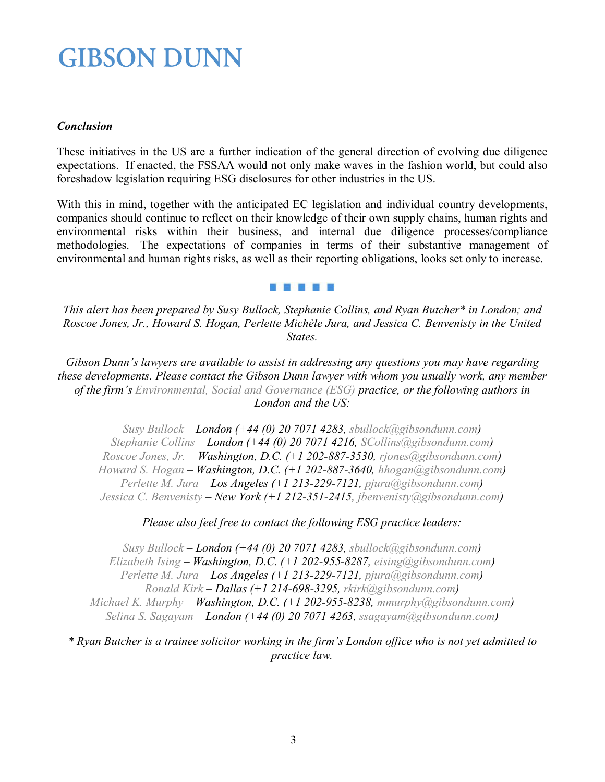## **GIBSON DUNN**

### *Conclusion*

These initiatives in the US are a further indication of the general direction of evolving due diligence expectations. If enacted, the FSSAA would not only make waves in the fashion world, but could also foreshadow legislation requiring ESG disclosures for other industries in the US.

With this in mind, together with the anticipated EC legislation and individual country developments, companies should continue to reflect on their knowledge of their own supply chains, human rights and environmental risks within their business, and internal due diligence processes/compliance methodologies. The expectations of companies in terms of their substantive management of environmental and human rights risks, as well as their reporting obligations, looks set only to increase.

#### **MARINA NY E**

*This alert has been prepared by Susy Bullock, Stephanie Collins, and Ryan Butcher\* in London; and Roscoe Jones, Jr., Howard S. Hogan, Perlette Michèle Jura, and Jessica C. Benvenisty in the United States.*

*Gibson Dunn's lawyers are available to assist in addressing any questions you may have regarding these developments. Please contact the Gibson Dunn lawyer with whom you usually work, any member of the firm's [Environmental, Social and Governance \(ESG\)](https://www.gibsondunn.com/practice/environmental-social-and-governance-esg/) practice, or the following authors in London and the US:*

*[Susy Bullock](https://www.gibsondunn.com/lawyer/bullock-susy/) – London (+44 (0) 20 7071 4283, [sbullock@gibsondunn.com\)](mailto:sbullock@gibsondunn.com) [Stephanie Collins](https://www.gibsondunn.com/lawyer/hawes-stephanie/) – London (+44 (0) 20 7071 4216, [SCollins@gibsondunn.com\)](mailto:SCollins@gibsondunn.com) [Roscoe Jones, Jr.](https://www.gibsondunn.com/lawyer/jones-jr-roscoe/) – Washington, D.C. (+1 202-887-3530, [rjones@gibsondunn.com\)](mailto:rjones@gibsondunn.com) [Howard S. Hogan](http://www.gibsondunn.com/Lawyers/hhogan) – Washington, D.C. (+1 202-887-3640, [hhogan@gibsondunn.com\)](mailto:hhogan@gibsondunn.com) [Perlette M. Jura –](http://www.gibsondunn.com/lawyers/pjura) Los Angeles (+1 213-229-7121, [pjura@gibsondunn.com\)](mailto:pjura@gibsondunn.com) [Jessica C. Benvenisty](https://www.gibsondunn.com/lawyer/benvenisty-jessica-c/) – New York (+1 212-351-2415, [jbenvenisty@gibsondunn.com\)](mailto:jbenvenisty@gibsondunn.com)*

#### *Please also feel free to contact the following ESG practice leaders:*

*[Susy Bullock](https://www.gibsondunn.com/lawyer/bullock-susy/) – London (+44 (0) 20 7071 4283, [sbullock@gibsondunn.com\)](mailto:sbullock@gibsondunn.com) [Elizabeth Ising](https://www.gibsondunn.com/lawyer/ising-elizabeth-a/) – Washington, D.C. (+1 202-955-8287, [eising@gibsondunn.com\)](mailto:eising@gibsondunn.com) [Perlette M. Jura –](http://www.gibsondunn.com/lawyers/pjura) Los Angeles (+1 213-229-7121, [pjura@gibsondunn.com\)](mailto:pjura@gibsondunn.com) [Ronald Kirk](https://www.gibsondunn.com/lawyer/kirk-ronald/) – Dallas (+1 214-698-3295, [rkirk@gibsondunn.com\)](mailto:rkirk@gibsondunn.com) [Michael K. Murphy](https://www.gibsondunn.com/lawyer/murphy-michael-k/) – Washington, D.C. (+1 202-955-8238, [mmurphy@gibsondunn.com\)](mailto:mmurphy@gibsondunn.com) [Selina S. Sagayam](https://www.gibsondunn.com/lawyer/sagayam-selina-s/) – London (+44 (0) 20 7071 4263, [ssagayam@gibsondunn.com\)](mailto:ssagayam@gibsondunn.com)*

*\* Ryan Butcher is a trainee solicitor working in the firm's London office who is not yet admitted to practice law.*